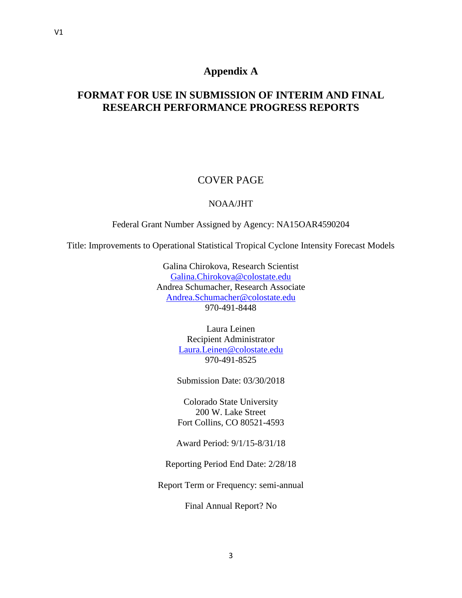# **Appendix A**

# **FORMAT FOR USE IN SUBMISSION OF INTERIM AND FINAL RESEARCH PERFORMANCE PROGRESS REPORTS**

# COVER PAGE

# NOAA/JHT

Federal Grant Number Assigned by Agency: NA15OAR4590204

Title: Improvements to Operational Statistical Tropical Cyclone Intensity Forecast Models

Galina Chirokova, Research Scientist [Galina.Chirokova@colostate.edu](mailto:Galina.Chirokova@colostate.edu) Andrea Schumacher, Research Associate [Andrea.Schumacher@colostate.edu](mailto:Andrea.Schumacher@colostate.edu) 970-491-8448

> Laura Leinen Recipient Administrator [Laura.Leinen@colostate.edu](mailto:Laura.Leinen@colostate.edu) 970-491-8525

Submission Date: 03/30/2018

Colorado State University 200 W. Lake Street Fort Collins, CO 80521-4593

Award Period: 9/1/15-8/31/18

Reporting Period End Date: 2/28/18

Report Term or Frequency: semi-annual

Final Annual Report? No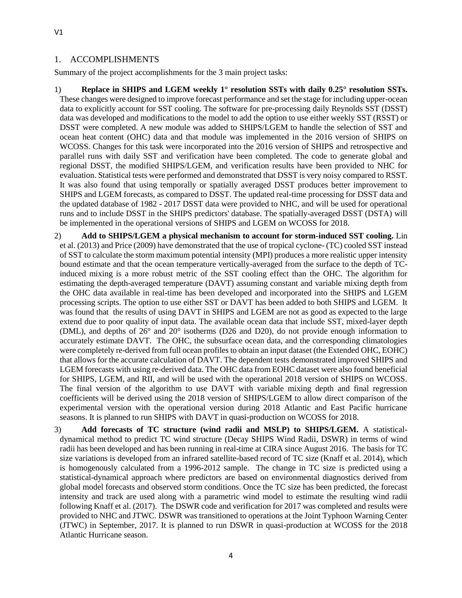#### 1. ACCOMPLISHMENTS

Summary of the project accomplishments for the 3 main project tasks:

1) **Replace in SHIPS and LGEM weekly 1° resolution SSTs with daily 0.25° resolution SSTs.**  These changes were designed to improve forecast performance and set the stage for including upper-ocean data to explicitly account for SST cooling. The software for pre-processing daily Reynolds SST (DSST) data was developed and modifications to the model to add the option to use either weekly SST (RSST) or DSST were completed. A new module was added to SHIPS/LGEM to handle the selection of SST and ocean heat content (OHC) data and that module was implemented in the 2016 version of SHIPS on WCOSS. Changes for this task were incorporated into the 2016 version of SHIPS and retrospective and parallel runs with daily SST and verification have been completed. The code to generate global and regional DSST, the modified SHIPS/LGEM, and verification results have been provided to NHC for evaluation. Statistical tests were performed and demonstrated that DSST is very noisy compared to RSST. It was also found that using temporally or spatially averaged DSST produces better improvement to SHIPS and LGEM forecasts, as compared to DSST. The updated real-time processing for DSST data and the updated database of 1982 - 2017 DSST data were provided to NHC, and will be used for operational runs and to include DSST in the SHIPS predictors' database. The spatially-averaged DSST (DSTA) will be implemented in the operational versions of SHIPS and LGEM on WCOSS for 2018.

2) **Add to SHIPS/LGEM a physical mechanism to account for storm-induced SST cooling.** Lin et al. (2013) and Price (2009) have demonstrated that the use of tropical cyclone- (TC) cooled SST instead of SST to calculate the storm maximum potential intensity (MPI) produces a more realistic upper intensity bound estimate and that the ocean temperature vertically-averaged from the surface to the depth of TCinduced mixing is a more robust metric of the SST cooling effect than the OHC. The algorithm for estimating the depth-averaged temperature (DAVT) assuming constant and variable mixing depth from the OHC data available in real-time has been developed and incorporated into the SHIPS and LGEM processing scripts. The option to use either SST or DAVT has been added to both SHIPS and LGEM. It was found that the results of using DAVT in SHIPS and LGEM are not as good as expected to the large extend due to poor quality of input data. The available ocean data that include SST, mixed-layer depth (DML), and depths of 26° and 20° isotherms (D26 and D20), do not provide enough information to accurately estimate DAVT. The OHC, the subsurface ocean data, and the corresponding climatologies were completely re-derived from full ocean profiles to obtain an input dataset (the Extended OHC, EOHC) that allows for the accurate calculation of DAVT. The dependent tests demonstrated improved SHIPS and LGEM forecasts with using re-derived data. The OHC data from EOHC dataset were also found beneficial for SHIPS, LGEM, and RII, and will be used with the operational 2018 version of SHIPS on WCOSS. The final version of the algorithm to use DAVT with variable mixing depth and final regression coefficients will be derived using the 2018 version of SHIPS/LGEM to allow direct comparison of the experimental version with the operational version during 2018 Atlantic and East Pacific hurricane seasons. It is planned to run SHIPS with DAVT in quasi-production on WCOSS for 2018.

3) **Add forecasts of TC structure (wind radii and MSLP) to SHIPS/LGEM.** A statisticaldynamical method to predict TC wind structure (Decay SHIPS Wind Radii, DSWR) in terms of wind radii has been developed and has been running in real-time at CIRA since August 2016. The basis for TC size variations is developed from an infrared satellite-based record of TC size (Knaff et al. 2014), which is homogenously calculated from a 1996-2012 sample. The change in TC size is predicted using a statistical-dynamical approach where predictors are based on environmental diagnostics derived from global model forecasts and observed storm conditions. Once the TC size has been predicted, the forecast intensity and track are used along with a parametric wind model to estimate the resulting wind radii following Knaff et al. (2017). The DSWR code and verification for 2017 was completed and results were provided to NHC and JTWC. DSWR was transitioned to operations at the Joint Typhoon Warning Center (JTWC) in September, 2017. It is planned to run DSWR in quasi-production at WCOSS for the 2018 Atlantic Hurricane season.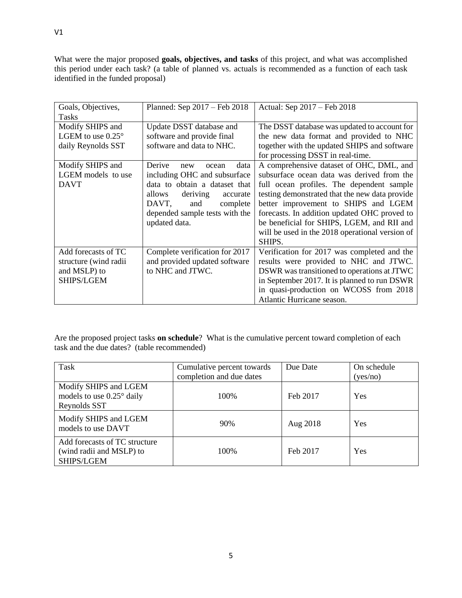What were the major proposed **goals, objectives, and tasks** of this project, and what was accomplished this period under each task? (a table of planned vs. actuals is recommended as a function of each task identified in the funded proposal)

| Goals, Objectives,<br><b>Tasks</b> | Planned: Sep 2017 – Feb 2018   | Actual: Sep 2017 - Feb 2018                     |
|------------------------------------|--------------------------------|-------------------------------------------------|
|                                    |                                |                                                 |
| Modify SHIPS and                   | Update DSST database and       | The DSST database was updated to account for    |
| LGEM to use $0.25^{\circ}$         | software and provide final     | the new data format and provided to NHC         |
| daily Reynolds SST                 | software and data to NHC.      | together with the updated SHIPS and software    |
|                                    |                                | for processing DSST in real-time.               |
| Modify SHIPS and                   | Derive<br>data<br>ocean<br>new | A comprehensive dataset of OHC, DML, and        |
| LGEM models to use                 | including OHC and subsurface   | subsurface ocean data was derived from the      |
| <b>DAVT</b>                        | data to obtain a dataset that  | full ocean profiles. The dependent sample       |
|                                    | deriving<br>allows<br>accurate | testing demonstrated that the new data provide  |
|                                    | DAVT,<br>and<br>complete       | better improvement to SHIPS and LGEM            |
|                                    | depended sample tests with the | forecasts. In addition updated OHC proved to    |
|                                    | updated data.                  | be beneficial for SHIPS, LGEM, and RII and      |
|                                    |                                | will be used in the 2018 operational version of |
|                                    |                                | SHIPS.                                          |
| Add forecasts of TC                | Complete verification for 2017 | Verification for 2017 was completed and the     |
| structure (wind radii              | and provided updated software  | results were provided to NHC and JTWC.          |
| and MSLP) to                       | to NHC and JTWC.               | DSWR was transitioned to operations at JTWC     |
| SHIPS/LGEM                         |                                | in September 2017. It is planned to run DSWR    |
|                                    |                                | in quasi-production on WCOSS from 2018          |
|                                    |                                | Atlantic Hurricane season.                      |

Are the proposed project tasks **on schedule**? What is the cumulative percent toward completion of each task and the due dates? (table recommended)

| Task                                                                        | Cumulative percent towards | Due Date | On schedule |
|-----------------------------------------------------------------------------|----------------------------|----------|-------------|
|                                                                             | completion and due dates   |          | (yes/no)    |
| Modify SHIPS and LGEM<br>models to use $0.25^{\circ}$ daily<br>Reynolds SST | 100\%                      | Feb 2017 | Yes         |
| Modify SHIPS and LGEM<br>models to use DAVT                                 | 90%                        | Aug 2018 | Yes         |
| Add forecasts of TC structure<br>(wind radii and MSLP) to<br>SHIPS/LGEM     | 100\%                      | Feb 2017 | Yes         |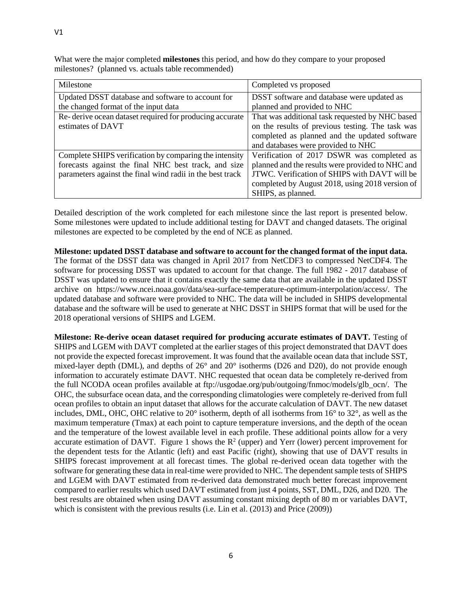What were the major completed **milestones** this period, and how do they compare to your proposed milestones? (planned vs. actuals table recommended)

| Milestone                                                 | Completed vs proposed                            |
|-----------------------------------------------------------|--------------------------------------------------|
| Updated DSST database and software to account for         | DSST software and database were updated as       |
| the changed format of the input data                      | planned and provided to NHC                      |
| Re-derive ocean dataset required for producing accurate   | That was additional task requested by NHC based  |
| estimates of DAVT                                         | on the results of previous testing. The task was |
|                                                           | completed as planned and the updated software    |
|                                                           | and databases were provided to NHC               |
| Complete SHIPS verification by comparing the intensity    | Verification of 2017 DSWR was completed as       |
| forecasts against the final NHC best track, and size      | planned and the results were provided to NHC and |
| parameters against the final wind radii in the best track | JTWC. Verification of SHIPS with DAVT will be    |
|                                                           | completed by August 2018, using 2018 version of  |
|                                                           | SHIPS, as planned.                               |

Detailed description of the work completed for each milestone since the last report is presented below. Some milestones were updated to include additional testing for DAVT and changed datasets. The original milestones are expected to be completed by the end of NCE as planned.

**Milestone: updated DSST database and software to account for the changed format of the input data.**  The format of the DSST data was changed in April 2017 from NetCDF3 to compressed NetCDF4. The software for processing DSST was updated to account for that change. The full 1982 - 2017 database of DSST was updated to ensure that it contains exactly the same data that are available in the updated DSST archive on https://www.ncei.noaa.gov/data/sea-surface-temperature-optimum-interpolation/access/. The updated database and software were provided to NHC. The data will be included in SHIPS developmental database and the software will be used to generate at NHC DSST in SHIPS format that will be used for the 2018 operational versions of SHIPS and LGEM.

**Milestone: Re-derive ocean dataset required for producing accurate estimates of DAVT.** Testing of SHIPS and LGEM with DAVT completed at the earlier stages of this project demonstrated that DAVT does not provide the expected forecast improvement. It was found that the available ocean data that include SST, mixed-layer depth (DML), and depths of 26° and 20° isotherms (D26 and D20), do not provide enough information to accurately estimate DAVT. NHC requested that ocean data be completely re-derived from the full NCODA ocean profiles available at ftp://usgodae.org/pub/outgoing/fnmoc/models/glb\_ocn/. The OHC, the subsurface ocean data, and the corresponding climatologies were completely re-derived from full ocean profiles to obtain an input dataset that allows for the accurate calculation of DAVT. The new dataset includes, DML, OHC, OHC relative to 20° isotherm, depth of all isotherms from 16° to 32°, as well as the maximum temperature (Tmax) at each point to capture temperature inversions, and the depth of the ocean and the temperature of the lowest available level in each profile. These additional points allow for a very accurate estimation of DAVT. Figure 1 shows the  $R^2$  (upper) and Yerr (lower) percent improvement for the dependent tests for the Atlantic (left) and east Pacific (right), showing that use of DAVT results in SHIPS forecast improvement at all forecast times. The global re-derived ocean data together with the software for generating these data in real-time were provided to NHC. The dependent sample tests of SHIPS and LGEM with DAVT estimated from re-derived data demonstrated much better forecast improvement compared to earlier results which used DAVT estimated from just 4 points, SST, DML, D26, and D20. The best results are obtained when using DAVT assuming constant mixing depth of 80 m or variables DAVT, which is consistent with the previous results (i.e. Lin et al. (2013) and Price (2009))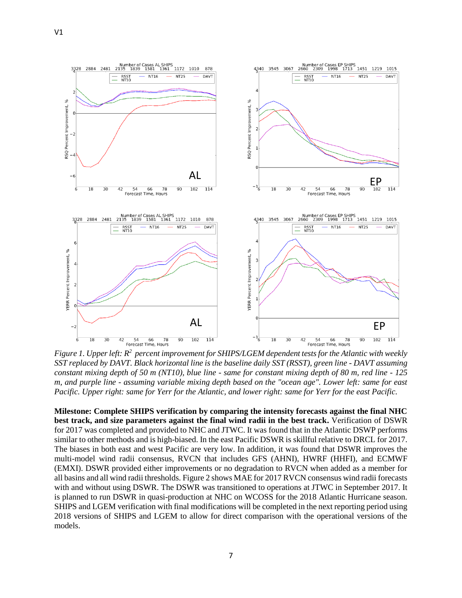V1



Figure 1. Upper left:  $R^2$  percent improvement for SHIPS/LGEM dependent tests for the Atlantic with weekly *SST replaced by DAVT. Black horizontal line is the baseline daily SST (RSST), green line - DAVT assuming constant mixing depth of 50 m (NT10), blue line - same for constant mixing depth of 80 m, red line - 125 m, and purple line - assuming variable mixing depth based on the "ocean age". Lower left: same for east Pacific. Upper right: same for Yerr for the Atlantic, and lower right: same for Yerr for the east Pacific.*

**Milestone: Complete SHIPS verification by comparing the intensity forecasts against the final NHC best track, and size parameters against the final wind radii in the best track.** Verification of DSWR for 2017 was completed and provided to NHC and JTWC. It was found that in the Atlantic DSWP performs similar to other methods and is high-biased. In the east Pacific DSWR is skillful relative to DRCL for 2017. The biases in both east and west Pacific are very low. In addition, it was found that DSWR improves the multi-model wind radii consensus, RVCN that includes GFS (AHNI), HWRF (HHFI), and ECMWF (EMXI). DSWR provided either improvements or no degradation to RVCN when added as a member for all basins and all wind radii thresholds. Figure 2 shows MAE for 2017 RVCN consensus wind radii forecasts with and without using DSWR. The DSWR was transitioned to operations at JTWC in September 2017. It is planned to run DSWR in quasi-production at NHC on WCOSS for the 2018 Atlantic Hurricane season. SHIPS and LGEM verification with final modifications will be completed in the next reporting period using 2018 versions of SHIPS and LGEM to allow for direct comparison with the operational versions of the models.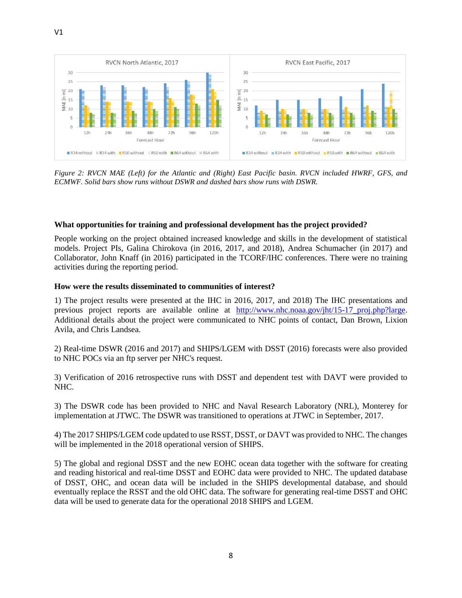

*Figure 2: RVCN MAE (Left) for the Atlantic and (Right) East Pacific basin. RVCN included HWRF, GFS, and ECMWF. Solid bars show runs without DSWR and dashed bars show runs with DSWR.* 

#### **What opportunities for training and professional development has the project provided?**

People working on the project obtained increased knowledge and skills in the development of statistical models. Project PIs, Galina Chirokova (in 2016, 2017, and 2018), Andrea Schumacher (in 2017) and Collaborator, John Knaff (in 2016) participated in the TCORF/IHC conferences. There were no training activities during the reporting period.

#### **How were the results disseminated to communities of interest?**

1) The project results were presented at the IHC in 2016, 2017, and 2018) The IHC presentations and previous project reports are available online at [http://www.nhc.noaa.gov/jht/15-17\\_proj.php?large](http://www.nhc.noaa.gov/jht/15-17_proj.php?large). Additional details about the project were communicated to NHC points of contact, Dan Brown, Lixion Avila, and Chris Landsea.

2) Real-time DSWR (2016 and 2017) and SHIPS/LGEM with DSST (2016) forecasts were also provided to NHC POCs via an ftp server per NHC's request.

3) Verification of 2016 retrospective runs with DSST and dependent test with DAVT were provided to NHC.

3) The DSWR code has been provided to NHC and Naval Research Laboratory (NRL), Monterey for implementation at JTWC. The DSWR was transitioned to operations at JTWC in September, 2017.

4) The 2017 SHIPS/LGEM code updated to use RSST, DSST, or DAVT was provided to NHC. The changes will be implemented in the 2018 operational version of SHIPS.

5) The global and regional DSST and the new EOHC ocean data together with the software for creating and reading historical and real-time DSST and EOHC data were provided to NHC. The updated database of DSST, OHC, and ocean data will be included in the SHIPS developmental database, and should eventually replace the RSST and the old OHC data. The software for generating real-time DSST and OHC data will be used to generate data for the operational 2018 SHIPS and LGEM.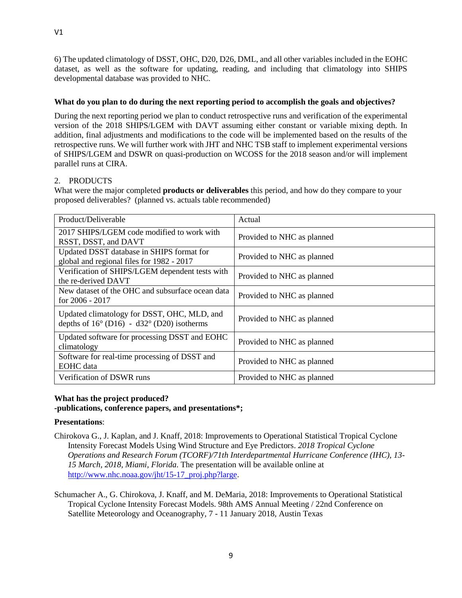6) The updated climatology of DSST, OHC, D20, D26, DML, and all other variables included in the EOHC dataset, as well as the software for updating, reading, and including that climatology into SHIPS developmental database was provided to NHC.

## **What do you plan to do during the next reporting period to accomplish the goals and objectives?**

During the next reporting period we plan to conduct retrospective runs and verification of the experimental version of the 2018 SHIPS/LGEM with DAVT assuming either constant or variable mixing depth. In addition, final adjustments and modifications to the code will be implemented based on the results of the retrospective runs. We will further work with JHT and NHC TSB staff to implement experimental versions of SHIPS/LGEM and DSWR on quasi-production on WCOSS for the 2018 season and/or will implement parallel runs at CIRA.

# 2. PRODUCTS

What were the major completed **products or deliverables** this period, and how do they compare to your proposed deliverables? (planned vs. actuals table recommended)

| Product/Deliverable                                                                                | Actual                     |
|----------------------------------------------------------------------------------------------------|----------------------------|
| 2017 SHIPS/LGEM code modified to work with<br>RSST, DSST, and DAVT                                 | Provided to NHC as planned |
| Updated DSST database in SHIPS format for<br>global and regional files for 1982 - 2017             | Provided to NHC as planned |
| Verification of SHIPS/LGEM dependent tests with<br>the re-derived DAVT                             | Provided to NHC as planned |
| New dataset of the OHC and subsurface ocean data<br>for $2006 - 2017$                              | Provided to NHC as planned |
| Updated climatology for DSST, OHC, MLD, and<br>depths of $16^{\circ}$ (D16) - d32° (D20) isotherms | Provided to NHC as planned |
| Updated software for processing DSST and EOHC<br>climatology                                       | Provided to NHC as planned |
| Software for real-time processing of DSST and<br><b>EOHC</b> data                                  | Provided to NHC as planned |
| Verification of DSWR runs                                                                          | Provided to NHC as planned |

# **What has the project produced?**

**-publications, conference papers, and presentations\*;**

#### **Presentations**:

- Chirokova G., J. Kaplan, and J. Knaff, 2018: Improvements to Operational Statistical Tropical Cyclone Intensity Forecast Models Using Wind Structure and Eye Predictors. *2018 Tropical Cyclone Operations and Research Forum (TCORF)/71th Interdepartmental Hurricane Conference (IHC), 13- 15 March, 2018, Miami, Florida.* The presentation will be available online at [http://www.nhc.noaa.gov/jht/15-17\\_proj.php?large](http://www.nhc.noaa.gov/jht/15-17_proj.php?large).
- Schumacher A., G. Chirokova, J. Knaff, and M. DeMaria, 2018: Improvements to Operational Statistical Tropical Cyclone Intensity Forecast Models. 98th AMS Annual Meeting / 22nd Conference on Satellite Meteorology and Oceanography, 7 - 11 January 2018, Austin Texas

V1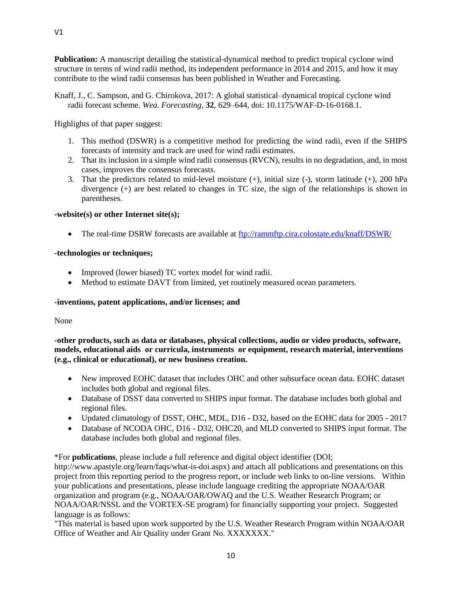**Publication:** A manuscript detailing the statistical-dynamical method to predict tropical cyclone wind structure in terms of wind radii method, its independent performance in 2014 and 2015, and how it may contribute to the wind radii consensus has been published in Weather and Forecasting.

Knaff, J., C. Sampson, and G. Chirokova, 2017: A global statistical–dynamical tropical cyclone wind radii forecast scheme. *Wea. Forecasting*, **32**, 629–644, doi: 10.1175/WAF-D-16-0168.1.

Highlights of that paper suggest:

- 1. This method (DSWR) is a competitive method for predicting the wind radii, even if the SHIPS forecasts of intensity and track are used for wind radii estimates.
- 2. That its inclusion in a simple wind radii consensus (RVCN), results in no degradation, and, in most cases, improves the consensus forecasts.
- 3. That the predictors related to mid-level moisture  $(+)$ , initial size  $(-)$ , storm latitude  $(+)$ , 200 hPa divergence (+) are best related to changes in TC size, the sign of the relationships is shown in parentheses.

## **-website(s) or other Internet site(s);**

• The real-time DSRW forecasts are available at<ftp://rammftp.cira.colostate.edu/knaff/DSWR/>

#### **-technologies or techniques;**

- Improved (lower biased) TC vortex model for wind radii.
- Method to estimate DAVT from limited, yet routinely measured ocean parameters.

#### **-inventions, patent applications, and/or licenses; and**

None

**-other products, such as data or databases, physical collections, audio or video products, software, models, educational aids or curricula, instruments or equipment, research material, interventions (e.g., clinical or educational), or new business creation.**

- New improved EOHC dataset that includes OHC and other subsurface ocean data. EOHC dataset includes both global and regional files.
- Database of DSST data converted to SHIPS input format. The database includes both global and regional files.
- Updated climatology of DSST, OHC, MDL, D16 D32, based on the EOHC data for 2005 2017
- Database of NCODA OHC, D16 D32, OHC20, and MLD converted to SHIPS input format. The database includes both global and regional files.

\*For **publications**, please include a full reference and digital object identifier (DOI;

http://www.apastyle.org/learn/faqs/what-is-doi.aspx) and attach all publications and presentations on this project from this reporting period to the progress report, or include web links to on-line versions. Within your publications and presentations, please include language crediting the appropriate NOAA/OAR organization and program (e.g., NOAA/OAR/OWAQ and the U.S. Weather Research Program; or NOAA/OAR/NSSL and the VORTEX-SE program) for financially supporting your project. Suggested language is as follows:

"This material is based upon work supported by the U.S. Weather Research Program within NOAA/OAR Office of Weather and Air Quality under Grant No. XXXXXXX."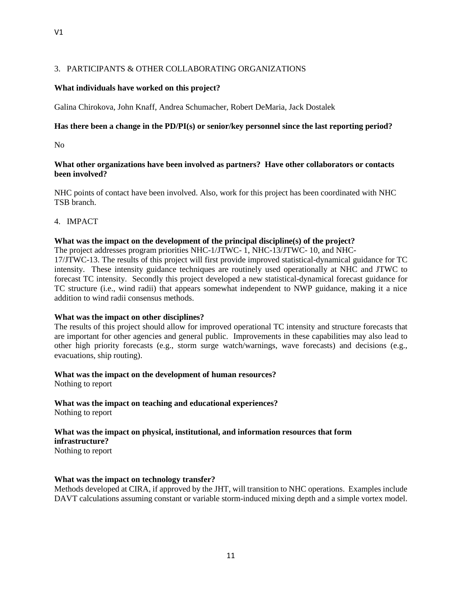## 3. PARTICIPANTS & OTHER COLLABORATING ORGANIZATIONS

### **What individuals have worked on this project?**

Galina Chirokova, John Knaff, Andrea Schumacher, Robert DeMaria, Jack Dostalek

#### **Has there been a change in the PD/PI(s) or senior/key personnel since the last reporting period?**

No

#### **What other organizations have been involved as partners? Have other collaborators or contacts been involved?**

NHC points of contact have been involved. Also, work for this project has been coordinated with NHC TSB branch.

4. IMPACT

#### **What was the impact on the development of the principal discipline(s) of the project?**

The project addresses program priorities NHC-1/JTWC- 1, NHC-13/JTWC- 10, and NHC-

17/JTWC-13. The results of this project will first provide improved statistical-dynamical guidance for TC intensity. These intensity guidance techniques are routinely used operationally at NHC and JTWC to forecast TC intensity. Secondly this project developed a new statistical-dynamical forecast guidance for TC structure (i.e., wind radii) that appears somewhat independent to NWP guidance, making it a nice addition to wind radii consensus methods.

#### **What was the impact on other disciplines?**

The results of this project should allow for improved operational TC intensity and structure forecasts that are important for other agencies and general public. Improvements in these capabilities may also lead to other high priority forecasts (e.g., storm surge watch/warnings, wave forecasts) and decisions (e.g., evacuations, ship routing).

#### **What was the impact on the development of human resources?**

Nothing to report

**What was the impact on teaching and educational experiences?** Nothing to report

# **What was the impact on physical, institutional, and information resources that form infrastructure?**

Nothing to report

#### **What was the impact on technology transfer?**

Methods developed at CIRA, if approved by the JHT, will transition to NHC operations. Examples include DAVT calculations assuming constant or variable storm-induced mixing depth and a simple vortex model.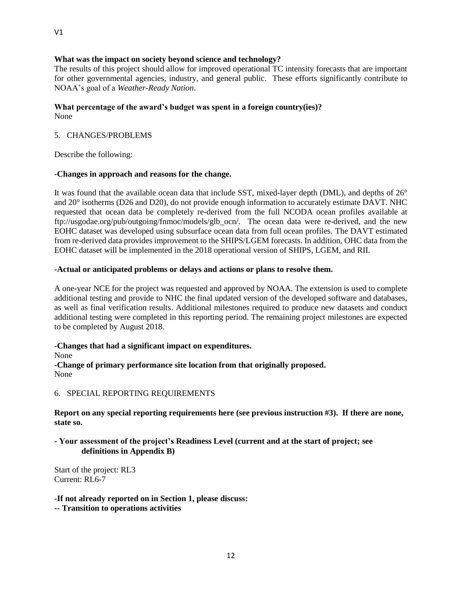#### **What was the impact on society beyond science and technology?**

The results of this project should allow for improved operational TC intensity forecasts that are important for other governmental agencies, industry, and general public. These efforts significantly contribute to NOAA's goal of a *Weather-Ready Nation*.

#### **What percentage of the award's budget was spent in a foreign country(ies)?** None

#### 5. CHANGES/PROBLEMS

Describe the following:

#### **-Changes in approach and reasons for the change.**

It was found that the available ocean data that include SST, mixed-layer depth (DML), and depths of 26° and 20° isotherms (D26 and D20), do not provide enough information to accurately estimate DAVT. NHC requested that ocean data be completely re-derived from the full NCODA ocean profiles available at ftp://usgodae.org/pub/outgoing/fnmoc/models/glb\_ocn/. The ocean data were re-derived, and the new EOHC dataset was developed using subsurface ocean data from full ocean profiles. The DAVT estimated from re-derived data provides improvement to the SHIPS/LGEM forecasts. In addition, OHC data from the EOHC dataset will be implemented in the 2018 operational version of SHIPS, LGEM, and RII.

#### **-Actual or anticipated problems or delays and actions or plans to resolve them.**

A one-year NCE for the project was requested and approved by NOAA. The extension is used to complete additional testing and provide to NHC the final updated version of the developed software and databases, as well as final verification results. Additional milestones required to produce new datasets and conduct additional testing were completed in this reporting period. The remaining project milestones are expected to be completed by August 2018.

**-Changes that had a significant impact on expenditures.**

None

**-Change of primary performance site location from that originally proposed.** None

6. SPECIAL REPORTING REQUIREMENTS

**Report on any special reporting requirements here (see previous instruction #3). If there are none, state so.**

#### **- Your assessment of the project's Readiness Level (current and at the start of project; see definitions in Appendix B)**

Start of the project: RL3 Current: RL6-7

**-If not already reported on in Section 1, please discuss: -- Transition to operations activities**

V1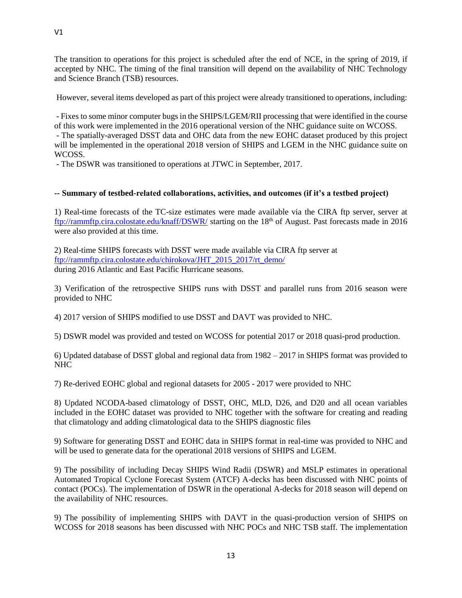The transition to operations for this project is scheduled after the end of NCE, in the spring of 2019, if accepted by NHC. The timing of the final transition will depend on the availability of NHC Technology and Science Branch (TSB) resources.

However, several items developed as part of this project were already transitioned to operations, including:

- Fixes to some minor computer bugs in the SHIPS/LGEM/RII processing that were identified in the course of this work were implemented in the 2016 operational version of the NHC guidance suite on WCOSS.

- The spatially-averaged DSST data and OHC data from the new EOHC dataset produced by this project will be implemented in the operational 2018 version of SHIPS and LGEM in the NHC guidance suite on WCOSS.

- The DSWR was transitioned to operations at JTWC in September, 2017.

## **-- Summary of testbed-related collaborations, activities, and outcomes (if it's a testbed project)**

1) Real-time forecasts of the TC-size estimates were made available via the CIRA ftp server, server at <ftp://rammftp.cira.colostate.edu/knaff/DSWR/> starting on the 18th of August. Past forecasts made in 2016 were also provided at this time.

2) Real-time SHIPS forecasts with DSST were made available via CIRA ftp server at [ftp://rammftp.cira.colostate.edu/chirokova/JHT\\_2015\\_2017/rt\\_demo/](ftp://rammftp.cira.colostate.edu/chirokova/JHT_2015_2017/rt_demo/) during 2016 Atlantic and East Pacific Hurricane seasons.

3) Verification of the retrospective SHIPS runs with DSST and parallel runs from 2016 season were provided to NHC

4) 2017 version of SHIPS modified to use DSST and DAVT was provided to NHC.

5) DSWR model was provided and tested on WCOSS for potential 2017 or 2018 quasi-prod production.

6) Updated database of DSST global and regional data from 1982 – 2017 in SHIPS format was provided to NHC

7) Re-derived EOHC global and regional datasets for 2005 - 2017 were provided to NHC

8) Updated NCODA-based climatology of DSST, OHC, MLD, D26, and D20 and all ocean variables included in the EOHC dataset was provided to NHC together with the software for creating and reading that climatology and adding climatological data to the SHIPS diagnostic files

9) Software for generating DSST and EOHC data in SHIPS format in real-time was provided to NHC and will be used to generate data for the operational 2018 versions of SHIPS and LGEM.

9) The possibility of including Decay SHIPS Wind Radii (DSWR) and MSLP estimates in operational Automated Tropical Cyclone Forecast System (ATCF) A-decks has been discussed with NHC points of contact (POCs). The implementation of DSWR in the operational A-decks for 2018 season will depend on the availability of NHC resources.

9) The possibility of implementing SHIPS with DAVT in the quasi-production version of SHIPS on WCOSS for 2018 seasons has been discussed with NHC POCs and NHC TSB staff. The implementation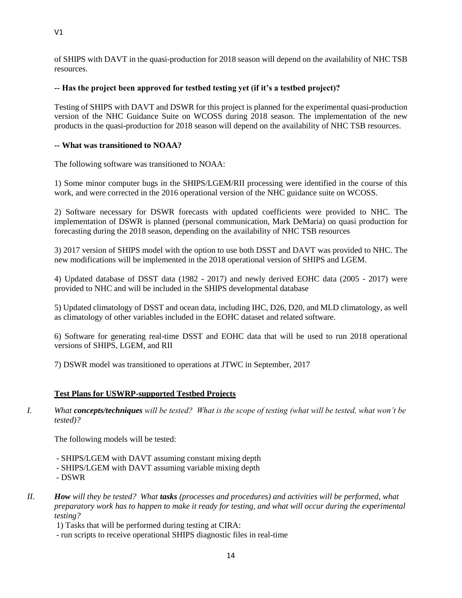of SHIPS with DAVT in the quasi-production for 2018 season will depend on the availability of NHC TSB resources.

# **-- Has the project been approved for testbed testing yet (if it's a testbed project)?**

Testing of SHIPS with DAVT and DSWR for this project is planned for the experimental quasi-production version of the NHC Guidance Suite on WCOSS during 2018 season. The implementation of the new products in the quasi-production for 2018 season will depend on the availability of NHC TSB resources.

## **-- What was transitioned to NOAA?**

The following software was transitioned to NOAA:

1) Some minor computer bugs in the SHIPS/LGEM/RII processing were identified in the course of this work, and were corrected in the 2016 operational version of the NHC guidance suite on WCOSS.

2) Software necessary for DSWR forecasts with updated coefficients were provided to NHC. The implementation of DSWR is planned (personal communication, Mark DeMaria) on quasi production for forecasting during the 2018 season, depending on the availability of NHC TSB resources

3) 2017 version of SHIPS model with the option to use both DSST and DAVT was provided to NHC. The new modifications will be implemented in the 2018 operational version of SHIPS and LGEM.

4) Updated database of DSST data (1982 - 2017) and newly derived EOHC data (2005 - 2017) were provided to NHC and will be included in the SHIPS developmental database

5) Updated climatology of DSST and ocean data, including IHC, D26, D20, and MLD climatology, as well as climatology of other variables included in the EOHC dataset and related software.

6) Software for generating real-time DSST and EOHC data that will be used to run 2018 operational versions of SHIPS, LGEM, and RII

7) DSWR model was transitioned to operations at JTWC in September, 2017

#### **Test Plans for USWRP-supported Testbed Projects**

*I. What concepts/techniques will be tested? What is the scope of testing (what will be tested, what won't be tested)?*

The following models will be tested:

- SHIPS/LGEM with DAVT assuming constant mixing depth
- SHIPS/LGEM with DAVT assuming variable mixing depth
- DSWR
- *II. How will they be tested? What tasks (processes and procedures) and activities will be performed, what preparatory work has to happen to make it ready for testing, and what will occur during the experimental testing?*

1) Tasks that will be performed during testing at CIRA:

- run scripts to receive operational SHIPS diagnostic files in real-time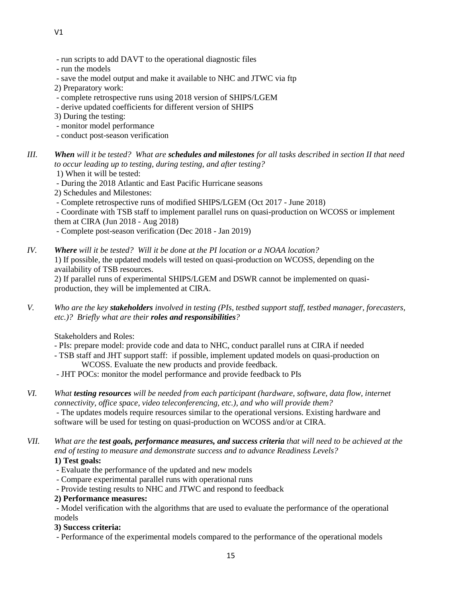- run scripts to add DAVT to the operational diagnostic files
- run the models
- save the model output and make it available to NHC and JTWC via ftp
- 2) Preparatory work:
- complete retrospective runs using 2018 version of SHIPS/LGEM
- derive updated coefficients for different version of SHIPS
- 3) During the testing:
- monitor model performance
- conduct post-season verification
- *III. When will it be tested? What are schedules and milestones for all tasks described in section II that need to occur leading up to testing, during testing, and after testing?* 
	- 1) When it will be tested:
	- During the 2018 Atlantic and East Pacific Hurricane seasons
	- 2) Schedules and Milestones:
	- Complete retrospective runs of modified SHIPS/LGEM (Oct 2017 June 2018)
	- Coordinate with TSB staff to implement parallel runs on quasi-production on WCOSS or implement them at CIRA (Jun 2018 - Aug 2018)
	- Complete post-season verification (Dec 2018 Jan 2019)
- *IV. Where will it be tested? Will it be done at the PI location or a NOAA location?* 1) If possible, the updated models will tested on quasi-production on WCOSS, depending on the availability of TSB resources.
	- 2) If parallel runs of experimental SHIPS/LGEM and DSWR cannot be implemented on quasiproduction, they will be implemented at CIRA.
- *V. Who are the key stakeholders involved in testing (PIs, testbed support staff, testbed manager, forecasters, etc.)? Briefly what are their roles and responsibilities?*
	- Stakeholders and Roles:
	- PIs: prepare model: provide code and data to NHC, conduct parallel runs at CIRA if needed
	- TSB staff and JHT support staff: if possible, implement updated models on quasi-production on WCOSS. Evaluate the new products and provide feedback.
	- JHT POCs: monitor the model performance and provide feedback to PIs
- *VI. What testing resources will be needed from each participant (hardware, software, data flow, internet connectivity, office space, video teleconferencing, etc.), and who will provide them?*  - The updates models require resources similar to the operational versions. Existing hardware and software will be used for testing on quasi-production on WCOSS and/or at CIRA.
- *VII. What are the test goals, performance measures, and success criteria that will need to be achieved at the end of testing to measure and demonstrate success and to advance Readiness Levels?*

# **1) Test goals:**

- Evaluate the performance of the updated and new models
- Compare experimental parallel runs with operational runs
- Provide testing results to NHC and JTWC and respond to feedback
- **2) Performance measures:**

- Model verification with the algorithms that are used to evaluate the performance of the operational models

#### **3) Success criteria:**

- Performance of the experimental models compared to the performance of the operational models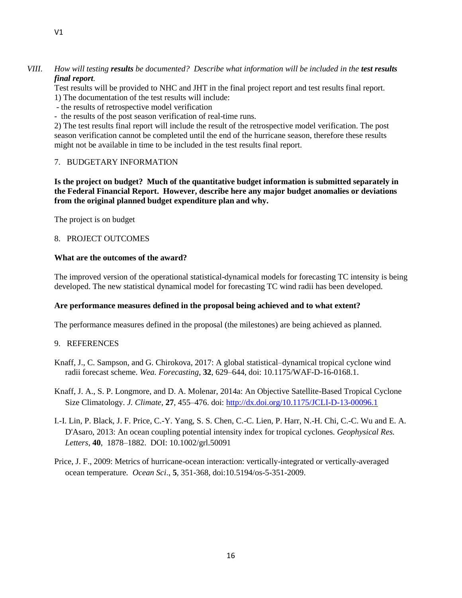## *VIII. How will testing results be documented? Describe what information will be included in the test results final report.*

Test results will be provided to NHC and JHT in the final project report and test results final report.

- 1) The documentation of the test results will include:
- the results of retrospective model verification
- the results of the post season verification of real-time runs.

2) The test results final report will include the result of the retrospective model verification. The post season verification cannot be completed until the end of the hurricane season, therefore these results might not be available in time to be included in the test results final report.

# 7. BUDGETARY INFORMATION

**Is the project on budget? Much of the quantitative budget information is submitted separately in the Federal Financial Report. However, describe here any major budget anomalies or deviations from the original planned budget expenditure plan and why.**

The project is on budget

# 8. PROJECT OUTCOMES

## **What are the outcomes of the award?**

The improved version of the operational statistical-dynamical models for forecasting TC intensity is being developed. The new statistical dynamical model for forecasting TC wind radii has been developed.

# **Are performance measures defined in the proposal being achieved and to what extent?**

The performance measures defined in the proposal (the milestones) are being achieved as planned.

#### 9. REFERENCES

- Knaff, J., C. Sampson, and G. Chirokova, 2017: A global statistical–dynamical tropical cyclone wind radii forecast scheme. *Wea. Forecasting*, **32**, 629–644, doi: 10.1175/WAF-D-16-0168.1.
- Knaff, J. A., S. P. Longmore, and D. A. Molenar, 2014a: An Objective Satellite-Based Tropical Cyclone Size Climatology. *J. Climate*, **27**, 455–476. doi[: http://dx.doi.org/10.1175/JCLI-D-13-00096.1](http://dx.doi.org/10.1175/JCLI-D-13-00096.1)
- I.-I. Lin, P. Black, J. F. Price, C.-Y. Yang, S. S. Chen, C.-C. Lien, P. Harr, N.-H. Chi, C.-C. Wu and E. A. D'Asaro, 2013: An ocean coupling potential intensity index for tropical cyclones. *Geophysical Res. Letters*, **40**, 1878–1882. DOI: 10.1002/grl.50091
- Price, J. F., 2009: Metrics of hurricane-ocean interaction: vertically-integrated or vertically-averaged ocean temperature*. Ocean Sci*., **5**, 351-368, doi:10.5194/os-5-351-2009.